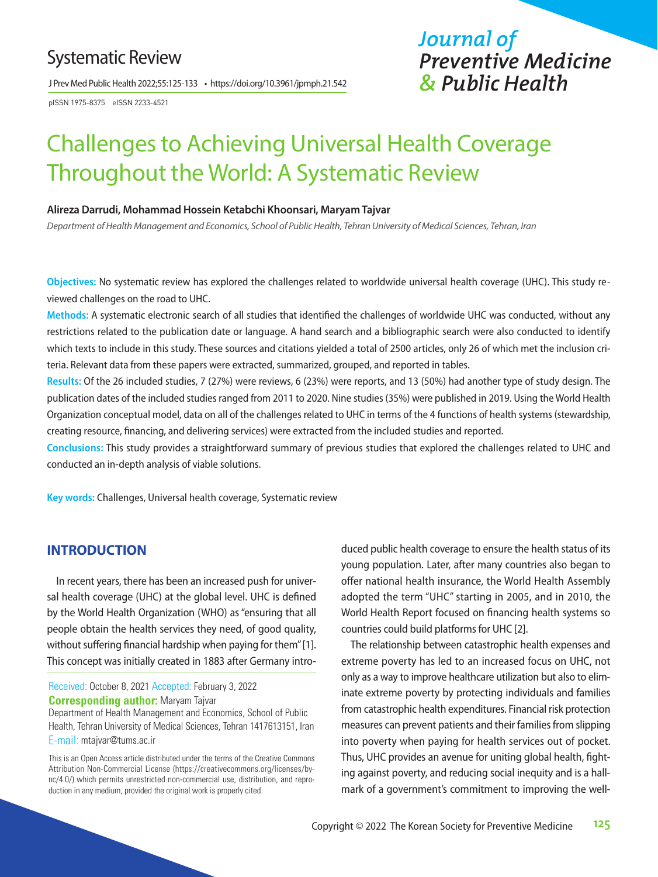# Systematic Review

J Prev Med Public Health 2022;55:125-133 • https://doi.org/10.3961/jpmph.21.542

pISSN 1975-8375 eISSN 2233-4521

# *Journal of Preventive Medicine & Public Health*

# Challenges to Achieving Universal Health Coverage Throughout the World: A Systematic Review

#### **Alireza Darrudi, Mohammad Hossein Ketabchi Khoonsari, Maryam Tajvar**

*Department of Health Management and Economics, School of Public Health, Tehran University of Medical Sciences, Tehran, Iran*

**Objectives:** No systematic review has explored the challenges related to worldwide universal health coverage (UHC). This study reviewed challenges on the road to UHC.

**Methods:** A systematic electronic search of all studies that identified the challenges of worldwide UHC was conducted, without any restrictions related to the publication date or language. A hand search and a bibliographic search were also conducted to identify which texts to include in this study. These sources and citations yielded a total of 2500 articles, only 26 of which met the inclusion criteria. Relevant data from these papers were extracted, summarized, grouped, and reported in tables.

**Results:** Of the 26 included studies, 7 (27%) were reviews, 6 (23%) were reports, and 13 (50%) had another type of study design. The publication dates of the included studies ranged from 2011 to 2020. Nine studies (35%) were published in 2019. Using the World Health Organization conceptual model, data on all of the challenges related to UHC in terms of the 4 functions of health systems (stewardship, creating resource, financing, and delivering services) were extracted from the included studies and reported.

**Conclusions:** This study provides a straightforward summary of previous studies that explored the challenges related to UHC and conducted an in-depth analysis of viable solutions.

**Key words:** Challenges, Universal health coverage, Systematic review

#### **INTRODUCTION**

In recent years, there has been an increased push for universal health coverage (UHC) at the global level. UHC is defined by the World Health Organization (WHO) as "ensuring that all people obtain the health services they need, of good quality, without suffering financial hardship when paying for them" [1]. This concept was initially created in 1883 after Germany intro-

Received: October 8, 2021 Accepted: February 3, 2022 **Corresponding author:** Maryam Tajvar

Department of Health Management and Economics, School of Public Health, Tehran University of Medical Sciences, Tehran 1417613151, Iran E-mail: mtajvar@tums.ac.ir

This is an Open Access article distributed under the terms of the Creative Commons Attribution Non-Commercial License (https://creativecommons.org/licenses/bync/4.0/) which permits unrestricted non-commercial use, distribution, and reproduction in any medium, provided the original work is properly cited.

duced public health coverage to ensure the health status of its young population. Later, after many countries also began to offer national health insurance, the World Health Assembly adopted the term "UHC" starting in 2005, and in 2010, the World Health Report focused on financing health systems so countries could build platforms for UHC [2].

The relationship between catastrophic health expenses and extreme poverty has led to an increased focus on UHC, not only as a way to improve healthcare utilization but also to eliminate extreme poverty by protecting individuals and families from catastrophic health expenditures. Financial risk protection measures can prevent patients and their families from slipping into poverty when paying for health services out of pocket. Thus, UHC provides an avenue for uniting global health, fighting against poverty, and reducing social inequity and is a hallmark of a government's commitment to improving the well-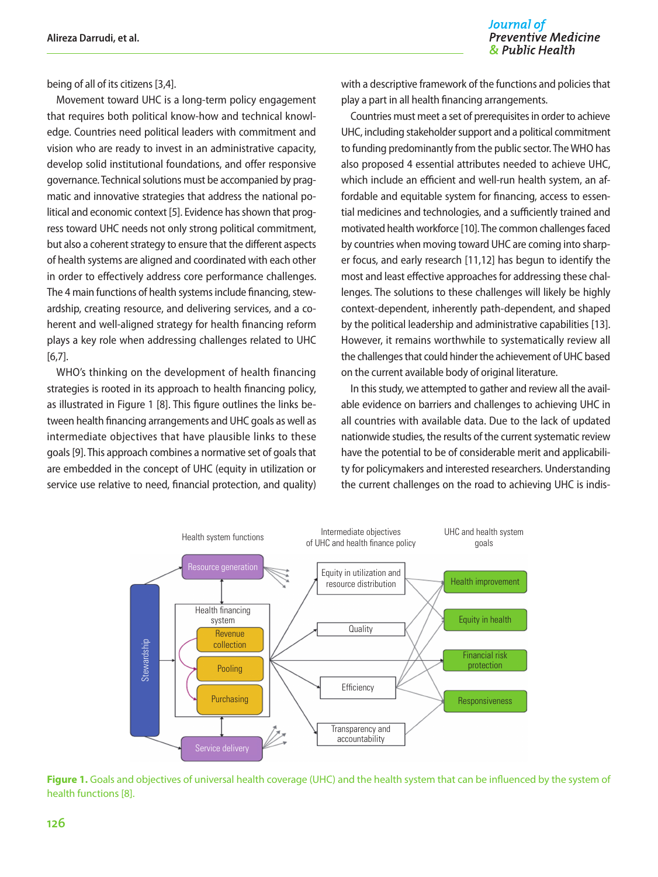#### Journal of **Preventive Medicine** & Public Health

being of all of its citizens [3,4].

Movement toward UHC is a long-term policy engagement that requires both political know-how and technical knowledge. Countries need political leaders with commitment and vision who are ready to invest in an administrative capacity, develop solid institutional foundations, and offer responsive governance. Technical solutions must be accompanied by pragmatic and innovative strategies that address the national political and economic context [5]. Evidence has shown that progress toward UHC needs not only strong political commitment, but also a coherent strategy to ensure that the different aspects of health systems are aligned and coordinated with each other in order to effectively address core performance challenges. The 4 main functions of health systems include financing, stewardship, creating resource, and delivering services, and a coherent and well-aligned strategy for health financing reform plays a key role when addressing challenges related to UHC [6,7].

WHO's thinking on the development of health financing strategies is rooted in its approach to health financing policy, as illustrated in Figure 1 [8]. This figure outlines the links between health financing arrangements and UHC goals as well as intermediate objectives that have plausible links to these goals [9]. This approach combines a normative set of goals that are embedded in the concept of UHC (equity in utilization or service use relative to need, financial protection, and quality) with a descriptive framework of the functions and policies that play a part in all health financing arrangements.

Countries must meet a set of prerequisites in order to achieve UHC, including stakeholder support and a political commitment to funding predominantly from the public sector. The WHO has also proposed 4 essential attributes needed to achieve UHC, which include an efficient and well-run health system, an affordable and equitable system for financing, access to essential medicines and technologies, and a sufficiently trained and motivated health workforce [10]. The common challenges faced by countries when moving toward UHC are coming into sharper focus, and early research [11,12] has begun to identify the most and least effective approaches for addressing these challenges. The solutions to these challenges will likely be highly context-dependent, inherently path-dependent, and shaped by the political leadership and administrative capabilities [13]. However, it remains worthwhile to systematically review all the challenges that could hinder the achievement of UHC based on the current available body of original literature.

In this study, we attempted to gather and review all the available evidence on barriers and challenges to achieving UHC in all countries with available data. Due to the lack of updated nationwide studies, the results of the current systematic review have the potential to be of considerable merit and applicability for policymakers and interested researchers. Understanding the current challenges on the road to achieving UHC is indis-



**Figure 1.** Goals and objectives of universal health coverage (UHC) and the health system that can be influenced by the system of health functions [8].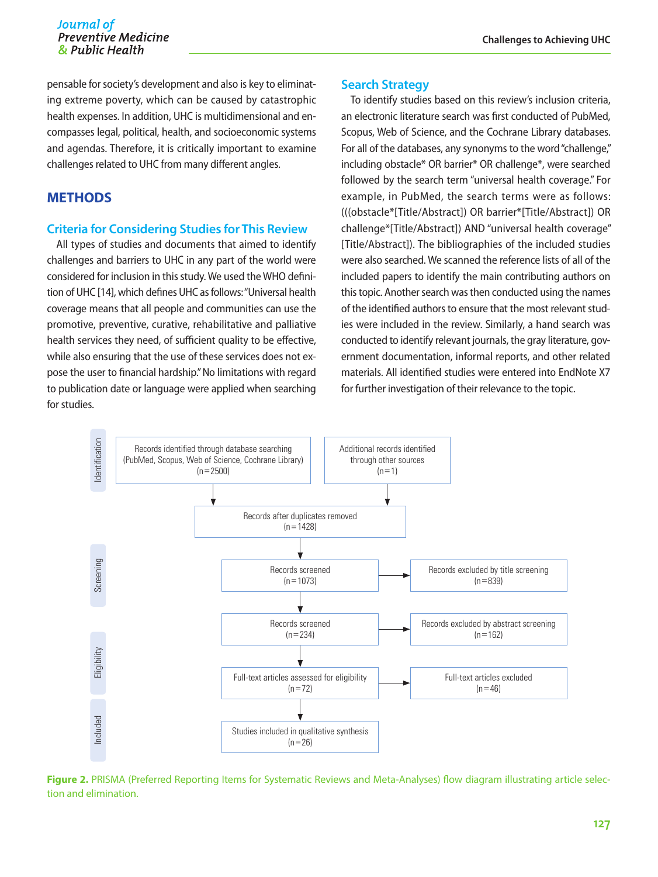pensable for society's development and also is key to eliminating extreme poverty, which can be caused by catastrophic health expenses. In addition, UHC is multidimensional and encompasses legal, political, health, and socioeconomic systems and agendas. Therefore, it is critically important to examine challenges related to UHC from many different angles.

# **METHODS**

#### **Criteria for Considering Studies for This Review**

All types of studies and documents that aimed to identify challenges and barriers to UHC in any part of the world were considered for inclusion in this study. We used the WHO definition of UHC [14], which defines UHC as follows: "Universal health coverage means that all people and communities can use the promotive, preventive, curative, rehabilitative and palliative health services they need, of sufficient quality to be effective, while also ensuring that the use of these services does not expose the user to financial hardship." No limitations with regard to publication date or language were applied when searching for studies.

#### **Search Strategy**

To identify studies based on this review's inclusion criteria, an electronic literature search was first conducted of PubMed, Scopus, Web of Science, and the Cochrane Library databases. For all of the databases, any synonyms to the word "challenge," including obstacle\* OR barrier\* OR challenge\*, were searched followed by the search term "universal health coverage." For example, in PubMed, the search terms were as follows: (((obstacle\*[Title/Abstract]) OR barrier\*[Title/Abstract]) OR challenge\*[Title/Abstract]) AND "universal health coverage" [Title/Abstract]). The bibliographies of the included studies were also searched. We scanned the reference lists of all of the included papers to identify the main contributing authors on this topic. Another search was then conducted using the names of the identified authors to ensure that the most relevant studies were included in the review. Similarly, a hand search was conducted to identify relevant journals, the gray literature, government documentation, informal reports, and other related materials. All identified studies were entered into EndNote X7 for further investigation of their relevance to the topic.



**Figure 2.** PRISMA (Preferred Reporting Items for Systematic Reviews and Meta-Analyses) flow diagram illustrating article selection and elimination.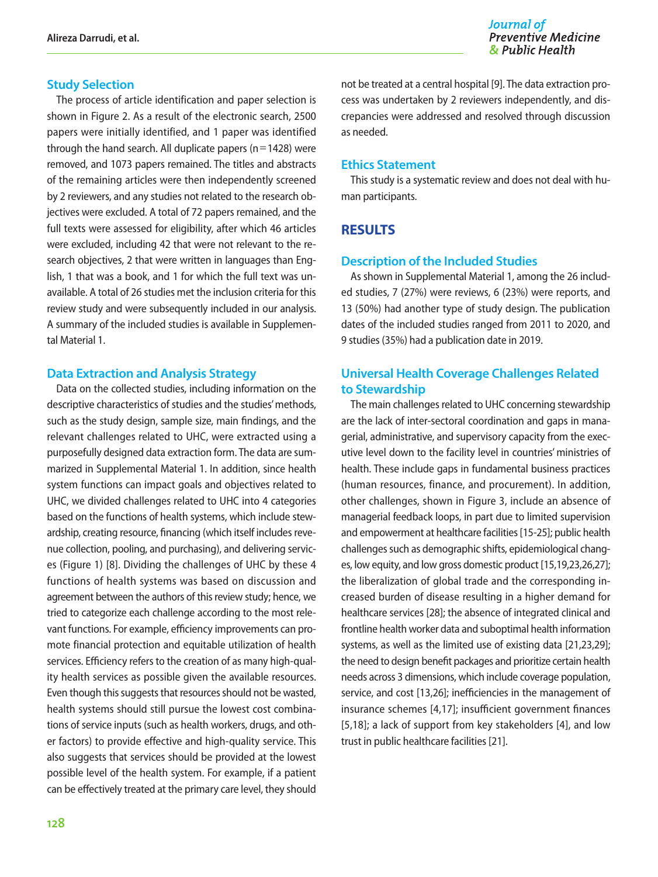#### **Study Selection**

The process of article identification and paper selection is shown in Figure 2. As a result of the electronic search, 2500 papers were initially identified, and 1 paper was identified through the hand search. All duplicate papers ( $n=1428$ ) were removed, and 1073 papers remained. The titles and abstracts of the remaining articles were then independently screened by 2 reviewers, and any studies not related to the research objectives were excluded. A total of 72 papers remained, and the full texts were assessed for eligibility, after which 46 articles were excluded, including 42 that were not relevant to the research objectives, 2 that were written in languages than English, 1 that was a book, and 1 for which the full text was unavailable. A total of 26 studies met the inclusion criteria for this review study and were subsequently included in our analysis. A summary of the included studies is available in Supplemental Material 1.

#### **Data Extraction and Analysis Strategy**

Data on the collected studies, including information on the descriptive characteristics of studies and the studies' methods, such as the study design, sample size, main findings, and the relevant challenges related to UHC, were extracted using a purposefully designed data extraction form. The data are summarized in Supplemental Material 1. In addition, since health system functions can impact goals and objectives related to UHC, we divided challenges related to UHC into 4 categories based on the functions of health systems, which include stewardship, creating resource, financing (which itself includes revenue collection, pooling, and purchasing), and delivering services (Figure 1) [8]. Dividing the challenges of UHC by these 4 functions of health systems was based on discussion and agreement between the authors of this review study; hence, we tried to categorize each challenge according to the most relevant functions. For example, efficiency improvements can promote financial protection and equitable utilization of health services. Efficiency refers to the creation of as many high-quality health services as possible given the available resources. Even though this suggests that resources should not be wasted, health systems should still pursue the lowest cost combinations of service inputs (such as health workers, drugs, and other factors) to provide effective and high-quality service. This also suggests that services should be provided at the lowest possible level of the health system. For example, if a patient can be effectively treated at the primary care level, they should

not be treated at a central hospital [9]. The data extraction process was undertaken by 2 reviewers independently, and discrepancies were addressed and resolved through discussion as needed.

#### **Ethics Statement**

This study is a systematic review and does not deal with human participants.

### **RESULTS**

#### **Description of the Included Studies**

As shown in Supplemental Material 1, among the 26 included studies, 7 (27%) were reviews, 6 (23%) were reports, and 13 (50%) had another type of study design. The publication dates of the included studies ranged from 2011 to 2020, and 9 studies (35%) had a publication date in 2019.

# **Universal Health Coverage Challenges Related to Stewardship**

The main challenges related to UHC concerning stewardship are the lack of inter‑sectoral coordination and gaps in managerial, administrative, and supervisory capacity from the executive level down to the facility level in countries' ministries of health. These include gaps in fundamental business practices (human resources, finance, and procurement). In addition, other challenges, shown in Figure 3, include an absence of managerial feedback loops, in part due to limited supervision and empowerment at healthcare facilities [15-25]; public health challenges such as demographic shifts, epidemiological changes, low equity, and low gross domestic product [15,19,23,26,27]; the liberalization of global trade and the corresponding increased burden of disease resulting in a higher demand for healthcare services [28]; the absence of integrated clinical and frontline health worker data and suboptimal health information systems, as well as the limited use of existing data [21,23,29]; the need to design benefit packages and prioritize certain health needs across 3 dimensions, which include coverage population, service, and cost [13,26]; inefficiencies in the management of insurance schemes [4,17]; insufficient government finances [5,18]; a lack of support from key stakeholders [4], and low trust in public healthcare facilities [21].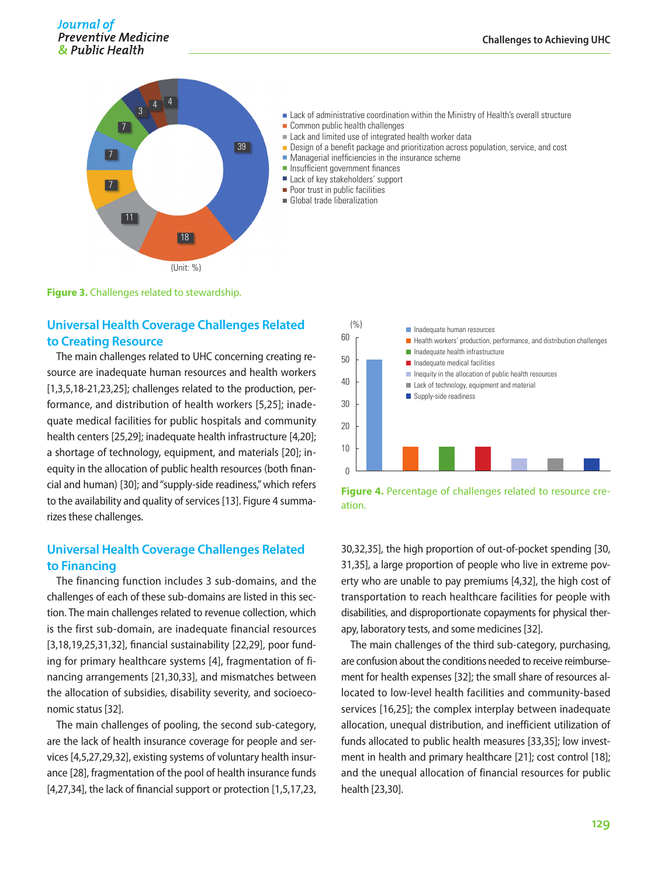

**Example 2** Lack of administrative coordination within the Ministry of Health's overall structure

- Common public health challenges
- Lack and limited use of integrated health worker data
- **Design of a benefit package and prioritization across population, service, and cost**
- Managerial inefficiencies in the insurance scheme
- **Insufficient government finances**
- Lack of key stakeholders' support
- **Poor trust in public facilities**
- Global trade liberalization

**Figure 3.** Challenges related to stewardship.

#### **Universal Health Coverage Challenges Related to Creating Resource**

The main challenges related to UHC concerning creating resource are inadequate human resources and health workers [1,3,5,18-21,23,25]; challenges related to the production, performance, and distribution of health workers [5,25]; inadequate medical facilities for public hospitals and community health centers [25,29]; inadequate health infrastructure [4,20]; a shortage of technology, equipment, and materials [20]; inequity in the allocation of public health resources (both financial and human) [30]; and "supply-side readiness," which refers to the availability and quality of services [13]. Figure 4 summarizes these challenges.

#### **Universal Health Coverage Challenges Related to Financing**

The financing function includes 3 sub-domains, and the challenges of each of these sub-domains are listed in this section. The main challenges related to revenue collection, which is the first sub-domain, are inadequate financial resources [3,18,19,25,31,32], financial sustainability [22,29], poor funding for primary healthcare systems [4], fragmentation of financing arrangements [21,30,33], and mismatches between the allocation of subsidies, disability severity, and socioeconomic status [32].

The main challenges of pooling, the second sub-category, are the lack of health insurance coverage for people and services [4,5,27,29,32], existing systems of voluntary health insurance [28], fragmentation of the pool of health insurance funds [4,27,34], the lack of financial support or protection [1,5,17,23,



**Figure 4.** Percentage of challenges related to resource creation.

30,32,35], the high proportion of out-of-pocket spending [30, 31,35], a large proportion of people who live in extreme poverty who are unable to pay premiums [4,32], the high cost of transportation to reach healthcare facilities for people with disabilities, and disproportionate copayments for physical therapy, laboratory tests, and some medicines [32].

The main challenges of the third sub-category, purchasing, are confusion about the conditions needed to receive reimbursement for health expenses [32]; the small share of resources allocated to low-level health facilities and community-based services [16,25]; the complex interplay between inadequate allocation, unequal distribution, and inefficient utilization of funds allocated to public health measures [33,35]; low investment in health and primary healthcare [21]; cost control [18]; and the unequal allocation of financial resources for public health [23,30].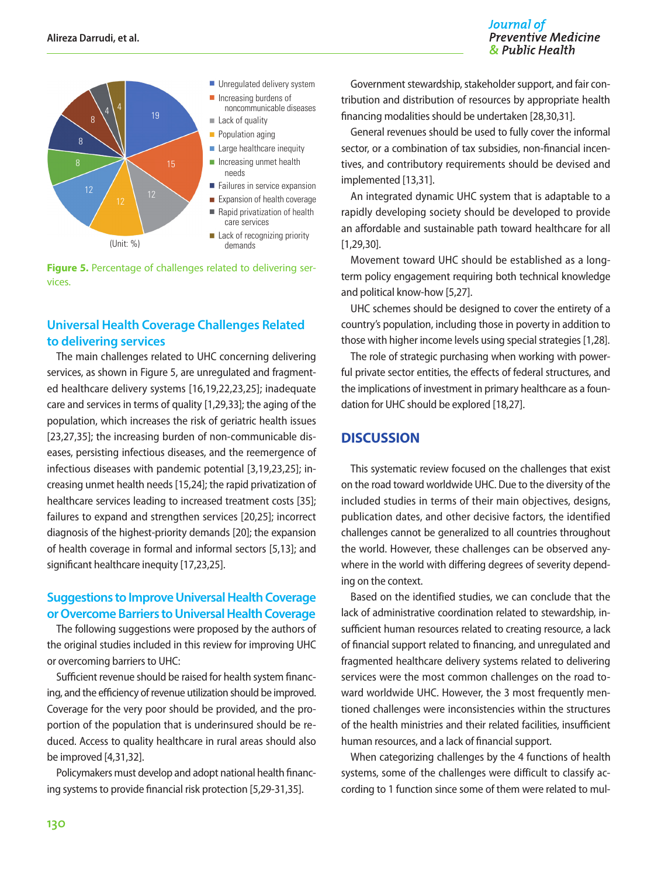



**Figure 5.** Percentage of challenges related to delivering services.

## **Universal Health Coverage Challenges Related to delivering services**

The main challenges related to UHC concerning delivering services, as shown in Figure 5, are unregulated and fragmented healthcare delivery systems [16,19,22,23,25]; inadequate care and services in terms of quality [1,29,33]; the aging of the population, which increases the risk of geriatric health issues [23,27,35]; the increasing burden of non-communicable diseases, persisting infectious diseases, and the reemergence of infectious diseases with pandemic potential [3,19,23,25]; increasing unmet health needs [15,24]; the rapid privatization of healthcare services leading to increased treatment costs [35]; failures to expand and strengthen services [20,25]; incorrect diagnosis of the highest-priority demands [20]; the expansion of health coverage in formal and informal sectors [5,13]; and significant healthcare inequity [17,23,25].

#### **Suggestions to Improve Universal Health Coverage or Overcome Barriers to Universal Health Coverage**

The following suggestions were proposed by the authors of the original studies included in this review for improving UHC or overcoming barriers to UHC:

Sufficient revenue should be raised for health system financing, and the efficiency of revenue utilization should be improved. Coverage for the very poor should be provided, and the proportion of the population that is underinsured should be reduced. Access to quality healthcare in rural areas should also be improved [4,31,32].

Policymakers must develop and adopt national health financing systems to provide financial risk protection [5,29-31,35].

Government stewardship, stakeholder support, and fair contribution and distribution of resources by appropriate health financing modalities should be undertaken [28,30,31].

General revenues should be used to fully cover the informal sector, or a combination of tax subsidies, non-financial incentives, and contributory requirements should be devised and implemented [13,31].

An integrated dynamic UHC system that is adaptable to a rapidly developing society should be developed to provide an affordable and sustainable path toward healthcare for all [1,29,30].

Movement toward UHC should be established as a longterm policy engagement requiring both technical knowledge and political know-how [5,27].

UHC schemes should be designed to cover the entirety of a country's population, including those in poverty in addition to those with higher income levels using special strategies [1,28].

The role of strategic purchasing when working with powerful private sector entities, the effects of federal structures, and the implications of investment in primary healthcare as a foundation for UHC should be explored [18,27].

## **DISCUSSION**

This systematic review focused on the challenges that exist on the road toward worldwide UHC. Due to the diversity of the included studies in terms of their main objectives, designs, publication dates, and other decisive factors, the identified challenges cannot be generalized to all countries throughout the world. However, these challenges can be observed anywhere in the world with differing degrees of severity depending on the context.

Based on the identified studies, we can conclude that the lack of administrative coordination related to stewardship, insufficient human resources related to creating resource, a lack of financial support related to financing, and unregulated and fragmented healthcare delivery systems related to delivering services were the most common challenges on the road toward worldwide UHC. However, the 3 most frequently mentioned challenges were inconsistencies within the structures of the health ministries and their related facilities, insufficient human resources, and a lack of financial support.

When categorizing challenges by the 4 functions of health systems, some of the challenges were difficult to classify according to 1 function since some of them were related to mul-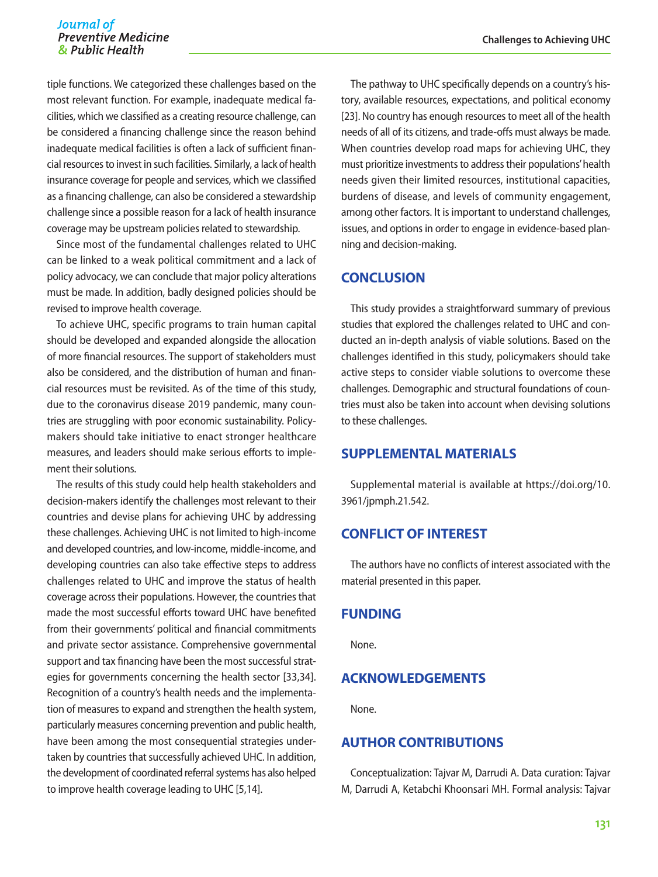tiple functions. We categorized these challenges based on the most relevant function. For example, inadequate medical facilities, which we classified as a creating resource challenge, can be considered a financing challenge since the reason behind inadequate medical facilities is often a lack of sufficient financial resources to invest in such facilities. Similarly, a lack of health insurance coverage for people and services, which we classified as a financing challenge, can also be considered a stewardship challenge since a possible reason for a lack of health insurance coverage may be upstream policies related to stewardship.

Since most of the fundamental challenges related to UHC can be linked to a weak political commitment and a lack of policy advocacy, we can conclude that major policy alterations must be made. In addition, badly designed policies should be revised to improve health coverage.

To achieve UHC, specific programs to train human capital should be developed and expanded alongside the allocation of more financial resources. The support of stakeholders must also be considered, and the distribution of human and financial resources must be revisited. As of the time of this study, due to the coronavirus disease 2019 pandemic, many countries are struggling with poor economic sustainability. Policymakers should take initiative to enact stronger healthcare measures, and leaders should make serious efforts to implement their solutions.

The results of this study could help health stakeholders and decision-makers identify the challenges most relevant to their countries and devise plans for achieving UHC by addressing these challenges. Achieving UHC is not limited to high-income and developed countries, and low-income, middle-income, and developing countries can also take effective steps to address challenges related to UHC and improve the status of health coverage across their populations. However, the countries that made the most successful efforts toward UHC have benefited from their governments' political and financial commitments and private sector assistance. Comprehensive governmental support and tax financing have been the most successful strategies for governments concerning the health sector [33,34]. Recognition of a country's health needs and the implementation of measures to expand and strengthen the health system, particularly measures concerning prevention and public health, have been among the most consequential strategies undertaken by countries that successfully achieved UHC. In addition, the development of coordinated referral systems has also helped to improve health coverage leading to UHC [5,14].

The pathway to UHC specifically depends on a country's history, available resources, expectations, and political economy [23]. No country has enough resources to meet all of the health needs of all of its citizens, and trade-offs must always be made. When countries develop road maps for achieving UHC, they must prioritize investments to address their populations' health needs given their limited resources, institutional capacities, burdens of disease, and levels of community engagement, among other factors. It is important to understand challenges, issues, and options in order to engage in evidence-based planning and decision-making.

#### **CONCLUSION**

This study provides a straightforward summary of previous studies that explored the challenges related to UHC and conducted an in-depth analysis of viable solutions. Based on the challenges identified in this study, policymakers should take active steps to consider viable solutions to overcome these challenges. Demographic and structural foundations of countries must also be taken into account when devising solutions to these challenges.

#### **SUPPLEMENTAL MATERIALS**

Supplemental material is available at [https://doi.org/10.](https://doi.org/10.3961/jpmph.21.542) [3961/jpmph.21.542](https://doi.org/10.3961/jpmph.21.542).

### **CONFLICT OF INTEREST**

The authors have no conflicts of interest associated with the material presented in this paper.

#### **FUNDING**

None.

# **ACKNOWLEDGEMENTS**

None.

# **AUTHOR CONTRIBUTIONS**

Conceptualization: Tajvar M, Darrudi A. Data curation: Tajvar M, Darrudi A, Ketabchi Khoonsari MH. Formal analysis: Tajvar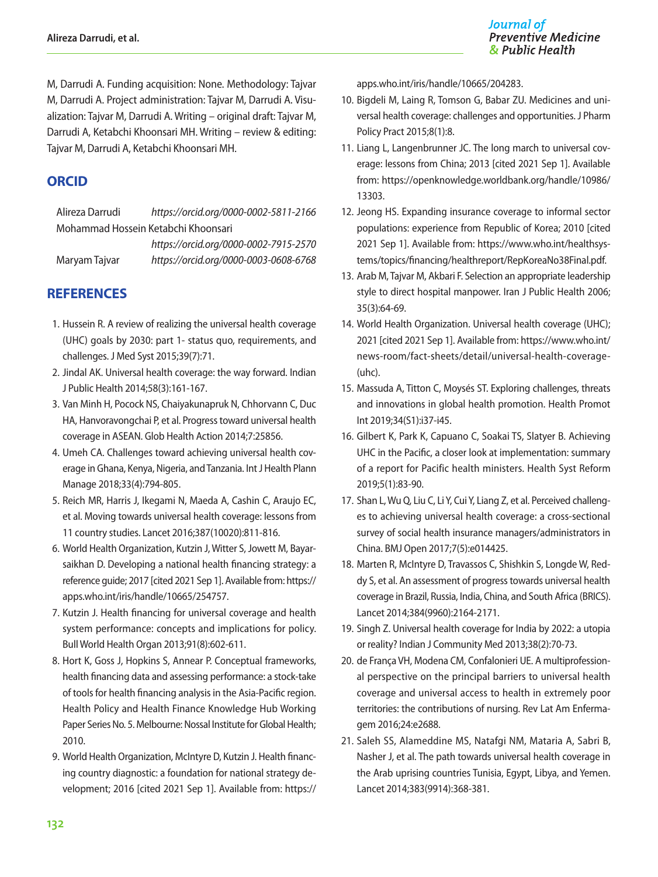M, Darrudi A. Funding acquisition: None. Methodology: Tajvar M, Darrudi A. Project administration: Tajvar M, Darrudi A. Visualization: Tajvar M, Darrudi A. Writing – original draft: Tajvar M, Darrudi A, Ketabchi Khoonsari MH. Writing – review & editing: Tajvar M, Darrudi A, Ketabchi Khoonsari MH.

# **ORCID**

Alireza Darrudi *https://orcid.org/0000-0002-5811-2166* Mohammad Hossein Ketabchi Khoonsari

*https://orcid.org/0000-0002-7915-2570* Maryam Tajvar *https://orcid.org/0000-0003-0608-6768*

# **REFERENCES**

- 1. Hussein R. A review of realizing the universal health coverage (UHC) goals by 2030: part 1- status quo, requirements, and challenges. J Med Syst 2015;39(7):71.
- 2. Jindal AK. Universal health coverage: the way forward. Indian J Public Health 2014;58(3):161-167.
- 3. Van Minh H, Pocock NS, Chaiyakunapruk N, Chhorvann C, Duc HA, Hanvoravongchai P, et al. Progress toward universal health coverage in ASEAN. Glob Health Action 2014;7:25856.
- 4. Umeh CA. Challenges toward achieving universal health coverage in Ghana, Kenya, Nigeria, and Tanzania. Int J Health Plann Manage 2018;33(4):794-805.
- 5. Reich MR, Harris J, Ikegami N, Maeda A, Cashin C, Araujo EC, et al. Moving towards universal health coverage: lessons from 11 country studies. Lancet 2016;387(10020):811-816.
- 6. World Health Organization, Kutzin J, Witter S, Jowett M, Bayarsaikhan D. Developing a national health financing strategy: a reference guide; 2017 [cited 2021 Sep 1]. Available from: [https://](https://apps.who.int/iris/handle/10665/254757) [apps.who.int/iris/handle/10665/254757](https://apps.who.int/iris/handle/10665/254757).
- 7. Kutzin J. Health financing for universal coverage and health system performance: concepts and implications for policy. Bull World Health Organ 2013;91(8):602-611.
- 8. Hort K, Goss J, Hopkins S, Annear P. Conceptual frameworks, health financing data and assessing performance: a stock-take of tools for health financing analysis in the Asia-Pacific region. Health Policy and Health Finance Knowledge Hub Working Paper Series No. 5. Melbourne: Nossal Institute for Global Health; 2010.
- 9. World Health Organization, McIntyre D, Kutzin J. Health financing country diagnostic: a foundation for national strategy development; 2016 [cited 2021 Sep 1]. Available from: [https://](https://apps.who.int/iris/handle/10665/204283)

[apps.who.int/iris/handle/10665/204283.](https://apps.who.int/iris/handle/10665/204283)

- 10. Bigdeli M, Laing R, Tomson G, Babar ZU. Medicines and universal health coverage: challenges and opportunities. J Pharm Policy Pract 2015;8(1):8.
- 11. Liang L, Langenbrunner JC. The long march to universal coverage: lessons from China; 2013 [cited 2021 Sep 1]. Available from: [https://openknowledge.worldbank.org/handle/10986/](https://openknowledge.worldbank.org/handle/10986/13303) [13303](https://openknowledge.worldbank.org/handle/10986/13303).
- 12. Jeong HS. Expanding insurance coverage to informal sector populations: experience from Republic of Korea; 2010 [cited 2021 Sep 1]. Available from: [https://www.who.int/healthsys](https://www.who.int/healthsystems/topics/financing/healthreport/RepKoreaNo38Final.pdf)[tems/topics/financing/healthreport/RepKoreaNo38Final.pdf](https://www.who.int/healthsystems/topics/financing/healthreport/RepKoreaNo38Final.pdf).
- 13. Arab M, Tajvar M, Akbari F. Selection an appropriate leadership style to direct hospital manpower. Iran J Public Health 2006; 35(3):64-69.
- 14. World Health Organization. Universal health coverage (UHC); 2021 [cited 2021 Sep 1]. Available from: [https://www.who.int/](https://www.who.int/news-room/fact-sheets/detail/universal-health-coverage-(uhc)) [news-room/fact-sheets/detail/universal-health-coverage-](https://www.who.int/news-room/fact-sheets/detail/universal-health-coverage-(uhc)) (uhc).
- 15. Massuda A, Titton C, Moysés ST. Exploring challenges, threats and innovations in global health promotion. Health Promot Int 2019;34(S1):i37-i45.
- 16. Gilbert K, Park K, Capuano C, Soakai TS, Slatyer B. Achieving UHC in the Pacific, a closer look at implementation: summary of a report for Pacific health ministers. Health Syst Reform 2019;5(1):83-90.
- 17. Shan L, Wu Q, Liu C, Li Y, Cui Y, Liang Z, et al. Perceived challenges to achieving universal health coverage: a cross-sectional survey of social health insurance managers/administrators in China. BMJ Open 2017;7(5):e014425.
- 18. Marten R, McIntyre D, Travassos C, Shishkin S, Longde W, Reddy S, et al. An assessment of progress towards universal health coverage in Brazil, Russia, India, China, and South Africa (BRICS). Lancet 2014;384(9960):2164-2171.
- 19. Singh Z. Universal health coverage for India by 2022: a utopia or reality? Indian J Community Med 2013;38(2):70-73.
- 20. de França VH, Modena CM, Confalonieri UE. A multiprofessional perspective on the principal barriers to universal health coverage and universal access to health in extremely poor territories: the contributions of nursing. Rev Lat Am Enfermagem 2016;24:e2688.
- 21. Saleh SS, Alameddine MS, Natafgi NM, Mataria A, Sabri B, Nasher J, et al. The path towards universal health coverage in the Arab uprising countries Tunisia, Egypt, Libya, and Yemen. Lancet 2014;383(9914):368-381.